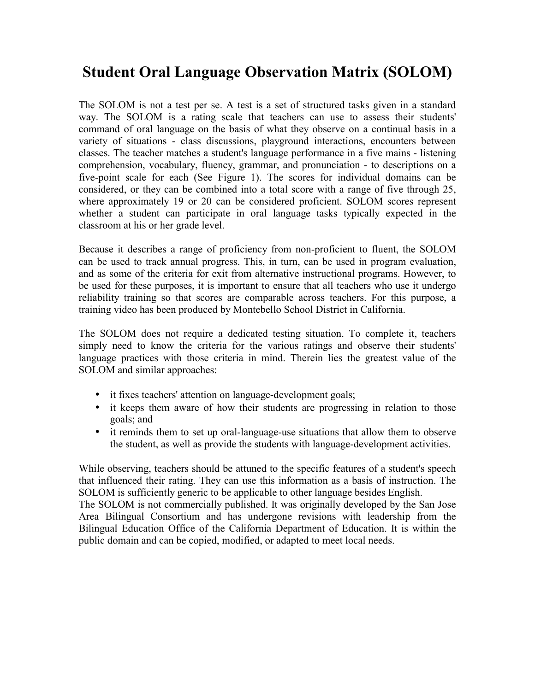## **Student Oral Language Observation Matrix (SOLOM)**

The SOLOM is not a test per se. A test is a set of structured tasks given in a standard way. The SOLOM is a rating scale that teachers can use to assess their students' command of oral language on the basis of what they observe on a continual basis in a variety of situations - class discussions, playground interactions, encounters between classes. The teacher matches a student's language performance in a five mains - listening comprehension, vocabulary, fluency, grammar, and pronunciation - to descriptions on a five-point scale for each (See Figure 1). The scores for individual domains can be considered, or they can be combined into a total score with a range of five through 25, where approximately 19 or 20 can be considered proficient. SOLOM scores represent whether a student can participate in oral language tasks typically expected in the classroom at his or her grade level.

Because it describes a range of proficiency from non-proficient to fluent, the SOLOM can be used to track annual progress. This, in turn, can be used in program evaluation, and as some of the criteria for exit from alternative instructional programs. However, to be used for these purposes, it is important to ensure that all teachers who use it undergo reliability training so that scores are comparable across teachers. For this purpose, a training video has been produced by Montebello School District in California.

The SOLOM does not require a dedicated testing situation. To complete it, teachers simply need to know the criteria for the various ratings and observe their students' language practices with those criteria in mind. Therein lies the greatest value of the SOLOM and similar approaches:

- it fixes teachers' attention on language-development goals;
- it keeps them aware of how their students are progressing in relation to those goals; and
- it reminds them to set up oral-language-use situations that allow them to observe the student, as well as provide the students with language-development activities.

While observing, teachers should be attuned to the specific features of a student's speech that influenced their rating. They can use this information as a basis of instruction. The SOLOM is sufficiently generic to be applicable to other language besides English.

The SOLOM is not commercially published. It was originally developed by the San Jose Area Bilingual Consortium and has undergone revisions with leadership from the Bilingual Education Office of the California Department of Education. It is within the public domain and can be copied, modified, or adapted to meet local needs.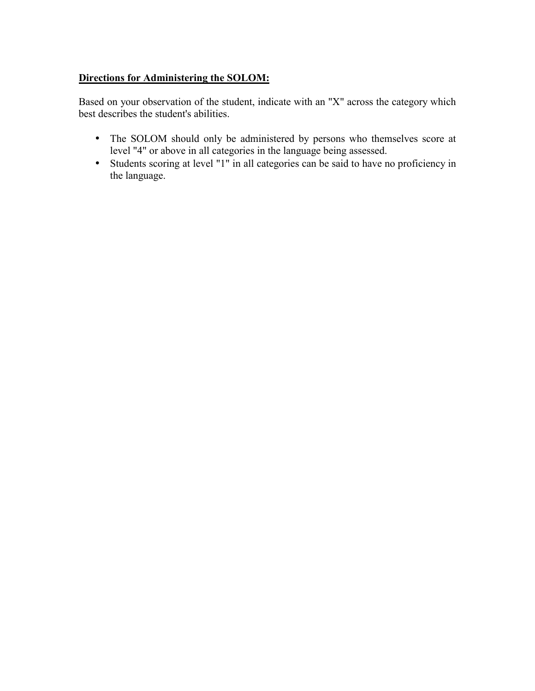## **Directions for Administering the SOLOM:**

Based on your observation of the student, indicate with an "X" across the category which best describes the student's abilities.

- The SOLOM should only be administered by persons who themselves score at level "4" or above in all categories in the language being assessed.
- Students scoring at level "1" in all categories can be said to have no proficiency in the language.